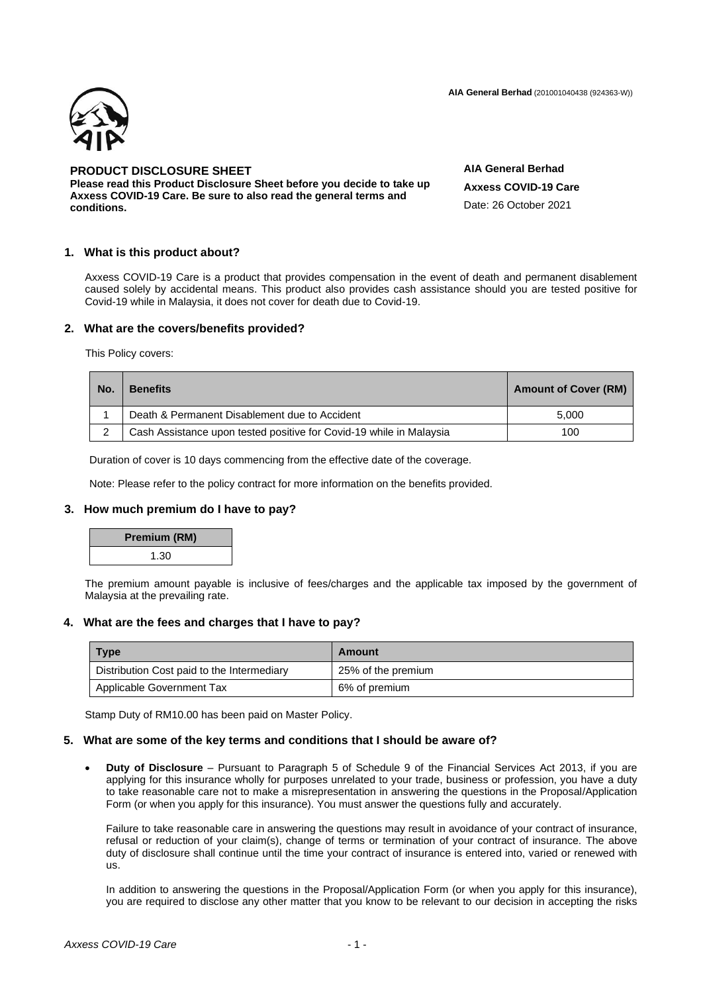**AIA General Berhad** (201001040438 (924363-W))



# **PRODUCT DISCLOSURE SHEET**

**Please read this Product Disclosure Sheet before you decide to take up Axxess COVID-19 Care. Be sure to also read the general terms and conditions.**

**AIA General Berhad Axxess COVID-19 Care** Date: 26 October 2021

# **1. What is this product about?**

Axxess COVID-19 Care is a product that provides compensation in the event of death and permanent disablement caused solely by accidental means. This product also provides cash assistance should you are tested positive for Covid-19 while in Malaysia, it does not cover for death due to Covid-19.

# **2. What are the covers/benefits provided?**

This Policy covers:

| No. | <b>Benefits</b>                                                     | <b>Amount of Cover (RM)</b> |
|-----|---------------------------------------------------------------------|-----------------------------|
|     | Death & Permanent Disablement due to Accident                       | 5.000                       |
|     | Cash Assistance upon tested positive for Covid-19 while in Malaysia | 100                         |

Duration of cover is 10 days commencing from the effective date of the coverage.

Note: Please refer to the policy contract for more information on the benefits provided.

# **3. How much premium do I have to pay?**

| Premium (RM) |  |
|--------------|--|
| 1.30         |  |

The premium amount payable is inclusive of fees/charges and the applicable tax imposed by the government of Malaysia at the prevailing rate.

# **4. What are the fees and charges that I have to pay?**

| <b>Type</b>                                | Amount             |
|--------------------------------------------|--------------------|
| Distribution Cost paid to the Intermediary | 25% of the premium |
| Applicable Government Tax                  | 6% of premium      |

Stamp Duty of RM10.00 has been paid on Master Policy.

#### **5. What are some of the key terms and conditions that I should be aware of?**

• **Duty of Disclosure** – Pursuant to Paragraph 5 of Schedule 9 of the Financial Services Act 2013, if you are applying for this insurance wholly for purposes unrelated to your trade, business or profession, you have a duty to take reasonable care not to make a misrepresentation in answering the questions in the Proposal/Application Form (or when you apply for this insurance). You must answer the questions fully and accurately.

Failure to take reasonable care in answering the questions may result in avoidance of your contract of insurance, refusal or reduction of your claim(s), change of terms or termination of your contract of insurance. The above duty of disclosure shall continue until the time your contract of insurance is entered into, varied or renewed with us.

In addition to answering the questions in the Proposal/Application Form (or when you apply for this insurance), you are required to disclose any other matter that you know to be relevant to our decision in accepting the risks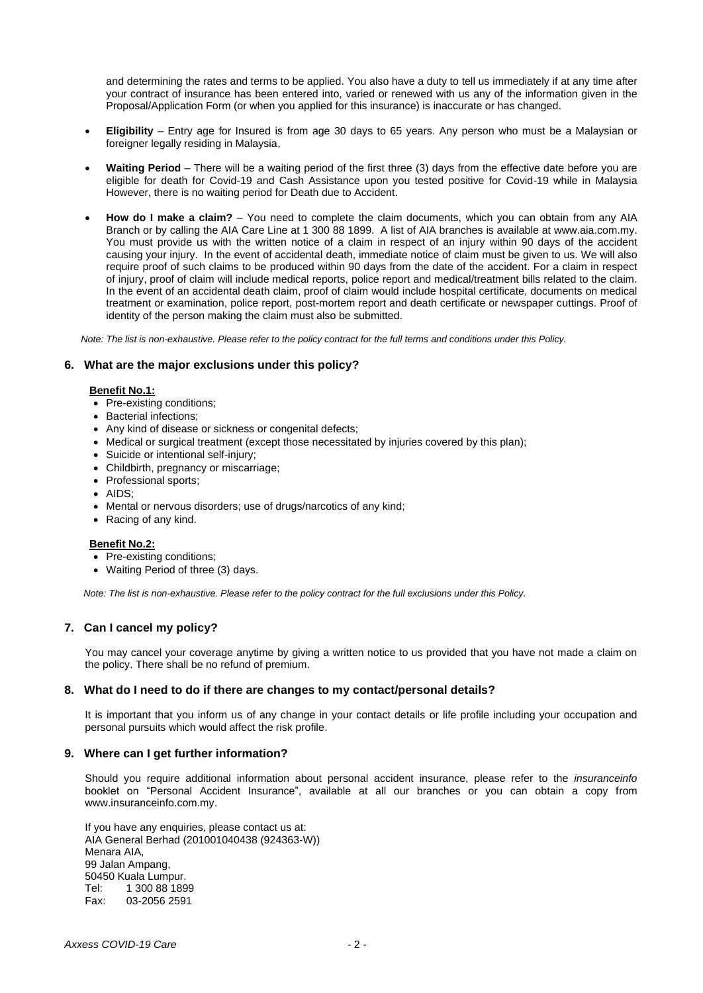and determining the rates and terms to be applied. You also have a duty to tell us immediately if at any time after your contract of insurance has been entered into, varied or renewed with us any of the information given in the Proposal/Application Form (or when you applied for this insurance) is inaccurate or has changed.

- **Eligibility** Entry age for Insured is from age 30 days to 65 years. Any person who must be a Malaysian or foreigner legally residing in Malaysia,
- **Waiting Period** There will be a waiting period of the first three (3) days from the effective date before you are eligible for death for Covid-19 and Cash Assistance upon you tested positive for Covid-19 while in Malaysia However, there is no waiting period for Death due to Accident.
- **How do I make a claim?** You need to complete the claim documents, which you can obtain from any AIA Branch or by calling the AIA Care Line at 1 300 88 1899. A list of AIA branches is available at [www.aia.com.my.](http://www.aia.com.my/) You must provide us with the written notice of a claim in respect of an injury within 90 days of the accident causing your injury. In the event of accidental death, immediate notice of claim must be given to us. We will also require proof of such claims to be produced within 90 days from the date of the accident. For a claim in respect of injury, proof of claim will include medical reports, police report and medical/treatment bills related to the claim. In the event of an accidental death claim, proof of claim would include hospital certificate, documents on medical treatment or examination, police report, post-mortem report and death certificate or newspaper cuttings. Proof of identity of the person making the claim must also be submitted.

*Note: The list is non-exhaustive. Please refer to the policy contract for the full terms and conditions under this Policy.*

# **6. What are the major exclusions under this policy?**

#### **Benefit No.1:**

- Pre-existing conditions;
- Bacterial infections;
- Any kind of disease or sickness or congenital defects;
- Medical or surgical treatment (except those necessitated by injuries covered by this plan);
- Suicide or intentional self-injury;
- Childbirth, pregnancy or miscarriage;
- Professional sports;
- AIDS;
- Mental or nervous disorders; use of drugs/narcotics of any kind;
- Racing of any kind.

#### **Benefit No.2:**

- Pre-existing conditions;
- Waiting Period of three (3) days.

*Note: The list is non-exhaustive. Please refer to the policy contract for the full exclusions under this Policy.*

# **7. Can I cancel my policy?**

You may cancel your coverage anytime by giving a written notice to us provided that you have not made a claim on the policy. There shall be no refund of premium.

# **8. What do I need to do if there are changes to my contact/personal details?**

It is important that you inform us of any change in your contact details or life profile including your occupation and personal pursuits which would affect the risk profile.

# **9. Where can I get further information?**

Should you require additional information about personal accident insurance, please refer to the *insuranceinfo* booklet on "Personal Accident Insurance", available at all our branches or you can obtain a copy from www.insuranceinfo.com.my.

If you have any enquiries, please contact us at: AIA General Berhad (201001040438 (924363-W)) Menara AIA, 99 Jalan Ampang, 50450 Kuala Lumpur. Tel: 1 300 88 1899 Fax: 03-2056 2591